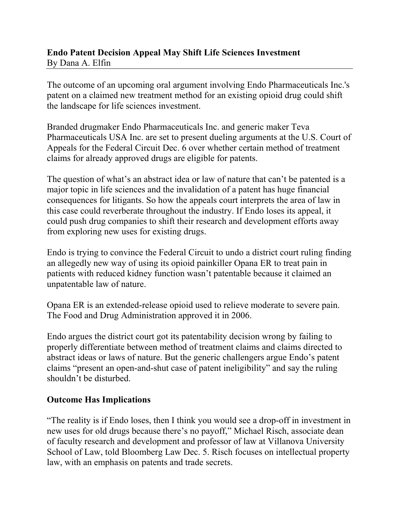## **Endo Patent Decision Appeal May Shift Life Sciences Investment**  By Dana A. Elfin

The outcome of an upcoming oral argument involving Endo Pharmaceuticals Inc.'s patent on a claimed new treatment method for an existing opioid drug could shift the landscape for life sciences investment.

Branded drugmaker Endo Pharmaceuticals Inc. and generic maker Teva Pharmaceuticals USA Inc. are set to present dueling arguments at the U.S. Court of Appeals for the Federal Circuit Dec. 6 over whether certain method of treatment claims for already approved drugs are eligible for patents.

The question of what's an abstract idea or law of nature that can't be patented is a major topic in life sciences and the invalidation of a patent has huge financial consequences for litigants. So how the appeals court interprets the area of law in this case could reverberate throughout the industry. If Endo loses its appeal, it could push drug companies to shift their research and development efforts away from exploring new uses for existing drugs.

Endo is trying to convince the Federal Circuit to undo a district court ruling finding an allegedly new way of using its opioid painkiller Opana ER to treat pain in patients with reduced kidney function wasn't patentable because it claimed an unpatentable law of nature.

Opana ER is an extended-release opioid used to relieve moderate to severe pain. The Food and Drug Administration approved it in 2006.

Endo argues the district court got its patentability decision wrong by failing to properly differentiate between method of treatment claims and claims directed to abstract ideas or laws of nature. But the generic challengers argue Endo's patent claims "present an open-and-shut case of patent ineligibility" and say the ruling shouldn't be disturbed.

## **Outcome Has Implications**

"The reality is if Endo loses, then I think you would see a drop-off in investment in new uses for old drugs because there's no payoff," Michael Risch, associate dean of faculty research and development and professor of law at Villanova University School of Law, told Bloomberg Law Dec. 5. Risch focuses on intellectual property law, with an emphasis on patents and trade secrets.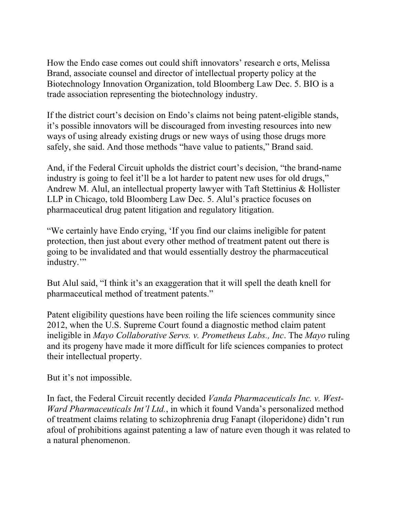How the Endo case comes out could shift innovators' research e orts, Melissa Brand, associate counsel and director of intellectual property policy at the Biotechnology Innovation Organization, told Bloomberg Law Dec. 5. BIO is a trade association representing the biotechnology industry.

If the district court's decision on Endo's claims not being patent-eligible stands, it's possible innovators will be discouraged from investing resources into new ways of using already existing drugs or new ways of using those drugs more safely, she said. And those methods "have value to patients," Brand said.

And, if the Federal Circuit upholds the district court's decision, "the brand-name industry is going to feel it'll be a lot harder to patent new uses for old drugs," Andrew M. Alul, an intellectual property lawyer with Taft Stettinius & Hollister LLP in Chicago, told Bloomberg Law Dec. 5. Alul's practice focuses on pharmaceutical drug patent litigation and regulatory litigation.

"We certainly have Endo crying, 'If you find our claims ineligible for patent protection, then just about every other method of treatment patent out there is going to be invalidated and that would essentially destroy the pharmaceutical industry."

But Alul said, "I think it's an exaggeration that it will spell the death knell for pharmaceutical method of treatment patents."

Patent eligibility questions have been roiling the life sciences community since 2012, when the U.S. Supreme Court found a diagnostic method claim patent ineligible in *Mayo Collaborative Servs. v. Prometheus Labs., Inc*. The *Mayo* ruling and its progeny have made it more difficult for life sciences companies to protect their intellectual property.

But it's not impossible.

In fact, the Federal Circuit recently decided *Vanda Pharmaceuticals Inc. v. West-Ward Pharmaceuticals Int'l Ltd.*, in which it found Vanda's personalized method of treatment claims relating to schizophrenia drug Fanapt (iloperidone) didn't run afoul of prohibitions against patenting a law of nature even though it was related to a natural phenomenon.